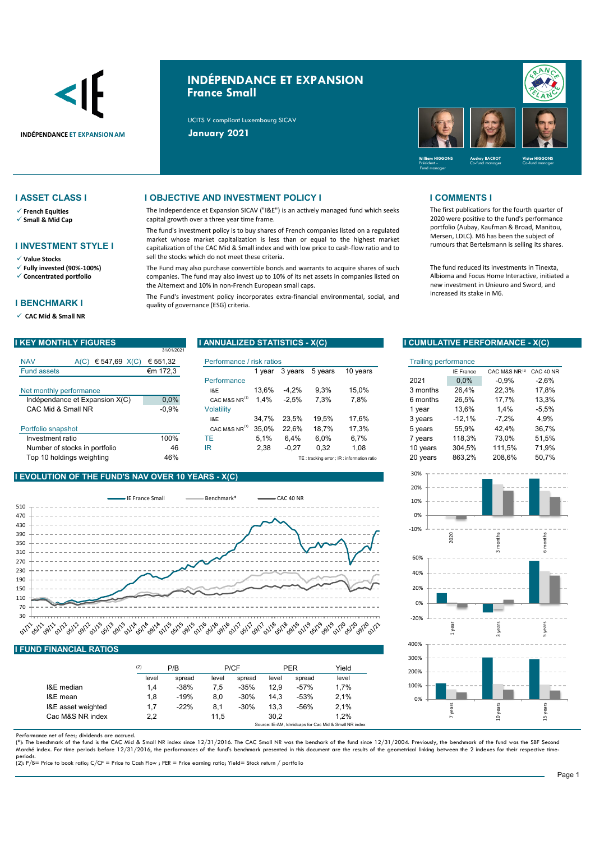

# **INDÉPENDANCE ET EXPANSION France Small**

The Independence et Expansion SICAV ("I&E") is an actively managed fund which seeks

The fund's investment policy is to buy shares of French companies listed on a regulated market whose market capitalization is less than or equal to the highest market capitalization of the CAC Mid & Small index and with low price to cash-flow ratio and to

The Fund may also purchase convertible bonds and warrants to acquire shares of such companies. The fund may also invest up to 10% of its net assets in companies listed on

The Fund's investment policy incorporates extra-financial environmental, social, and

UCITS V compliant Luxembourg SICAV



## **I ASSET CLASS I I OBJECTIVE AND INVESTMENT POLICY I I COMMENTS I**

- **French Equities**
- **Small & Mid Cap**
- **I INVESTMENT STYLE I**
- **Value Stocks**
- **Fully invested (90%-100%)**
- **Concentrated portfolio**

### **I BENCHMARK I**

**CAC Mid & Small NR** 

|                    |                                | 31/01/2021 |                           |       |         |         |                                           |          |                  |               |           |
|--------------------|--------------------------------|------------|---------------------------|-------|---------|---------|-------------------------------------------|----------|------------------|---------------|-----------|
| <b>NAV</b>         | € 547,69 $X(C)$<br>A(C)        | € 551.32   | Performance / risk ratios |       |         |         | <b>Trailing performance</b>               |          |                  |               |           |
| <b>Fund assets</b> |                                | €m 172,3   |                           | vear  | 3 years | 5 years | 10 years                                  |          | <b>IE France</b> | CAC M&S NR(1) | CAC 40 NF |
|                    |                                |            | Performance               |       |         |         |                                           | 2021     | 0.0%             | $-0.9%$       | $-2,6%$   |
|                    | Net monthly performance        |            | <b>I&amp;E</b>            | 13.6% | $-4.2%$ | 9.3%    | 15.0%                                     | 3 months | 26.4%            | 22.3%         | 17,8%     |
|                    | Indépendance et Expansion X(C) | $0.0\%$    | CAC M&S NR <sup>(1)</sup> | .4%   | $-2,5%$ | 7,3%    | 7,8%                                      | 6 months | 26.5%            | 17.7%         | 13,3%     |
|                    | CAC Mid & Small NR             | $-0.9%$    | Volatilitv                |       |         |         |                                           | vear     | 13.6%            | 1,4%          | $-5,5%$   |
|                    |                                |            | I&E                       | 34.7% | 23.5%   | 19.5%   | 17.6%                                     | 3 years  | $-12,1%$         | $-7.2%$       | 4,9%      |
| Portfolio snapshot |                                |            | CAC M&S NR <sup>(1)</sup> | 35.0% | 22.6%   | 18.7%   | 17.3%                                     | 5 years  | 55.9%            | 42.4%         | 36.7%     |
| Investment ratio   |                                | 100%       | ТE                        | 5.1%  | 6.4%    | 6.0%    | 6.7%                                      | ' vears  | 118.3%           | 73.0%         | 51,5%     |
|                    | Number of stocks in portfolio  | 46         | ΙR                        | 2,38  | $-0,27$ | 0,32    | 1,08                                      | 10 years | 304.5%           | 111.5%        | 71,9%     |
|                    | Top 10 holdinas weiahtina      | 46%        |                           |       |         |         | TE: tracking error: IR: information ratio | 20 years | 863.2%           | 208.6%        | 50.7%     |

quality of governance (ESG) criteria.

capital growth over a three year time frame.

sell the stocks which do not meet these criteria.

the Alternext and 10% in non-French European small caps.

### **I EVOLUTION OF THE FUND'S NAV OVER 10**



## **I FUND FINANCIAL RATIOS**

|                    | (2)   | P/B    |       | P/CF   |       | <b>PER</b> |                                                       |
|--------------------|-------|--------|-------|--------|-------|------------|-------------------------------------------------------|
|                    | level | spread | level | spread | level | spread     | level                                                 |
| I&E median         | 1.4   | $-38%$ | 7.5   | $-35%$ | 12.9  | $-57%$     | 1.7%                                                  |
| I&E mean           | 1,8   | $-19%$ | 8.0   | $-30%$ | 14.3  | $-53%$     | 2,1%                                                  |
| I&E asset weighted | 1,7   | $-22%$ | 8.1   | $-30%$ | 13.3  | $-56%$     | 2,1%                                                  |
| Cac M&S NR index   | 2,2   |        | 11.5  |        | 30.2  |            | 1.2%                                                  |
|                    |       |        |       |        |       |            | Source: IE-AM. Idmidcaps for Cac Mid & Small NR index |

Performance net of fees; dividends are accrued.

(\*): The benchmark of the fund is the CAC Mid & Small NR index since 12/31/2016. The CAC Small NR was the benchark of the fund since 12/31/2004. Previously, the benchmark of the fund was the SBF Second<br>Marché index. For ti

periods. (2): P/B= Price to book ratio; C/CF = Price to Cash Flow ; PER = Price earning ratio; Yield= Stock return / portfolio

The first publications for the fourth quarter of 2020 were positive to the fund's performance portfolio (Aubay, Kaufman & Broad, Manitou, Mersen, LDLC). M6 has been the subject of rumours that Bertelsmann is selling its shares.

The fund reduced its investments in Tinexta, Albioma and Focus Home Interactive, initiated a new investment in Unieuro and Sword, and increased its stake in M6.

### **I KEY MONTHLY FIGURES I ANNUALIZED STATISTICS - X(C) I CUMULATIVE PERFORMANCE - X(C)**

| Performance / risk ratios |        |         |         |                                             | <b>Trailing performance</b> |          |                  |               |           |
|---------------------------|--------|---------|---------|---------------------------------------------|-----------------------------|----------|------------------|---------------|-----------|
|                           | 1 vear | 3 years | 5 years | 10 years                                    |                             |          | <b>IE France</b> | CAC M&S NR(1) | CAC 40 NR |
| Performance               |        |         |         |                                             |                             | 2021     | 0,0%             | $-0.9%$       | $-2,6%$   |
| 18E                       | 13.6%  | $-4.2%$ | 9.3%    | 15.0%                                       |                             | 3 months | 26.4%            | 22.3%         | 17.8%     |
| CAC M&S NR <sup>(1)</sup> | 1.4%   | $-2.5%$ | 7.3%    | 7,8%                                        |                             | 6 months | 26.5%            | 17.7%         | 13,3%     |
| Volatility                |        |         |         |                                             |                             | 1 vear   | 13.6%            | 1.4%          | $-5,5%$   |
| I&E                       | 34.7%  | 23.5%   | 19.5%   | 17,6%                                       |                             | 3 years  | $-12.1%$         | $-7.2%$       | 4,9%      |
| CAC M&S NR <sup>(1)</sup> | 35.0%  | 22.6%   | 18.7%   | 17.3%                                       |                             | 5 years  | 55.9%            | 42.4%         | 36,7%     |
| TE                        | 5.1%   | 6.4%    | 6,0%    | 6,7%                                        |                             | 7 years  | 118,3%           | 73,0%         | 51,5%     |
| IR                        | 2,38   | $-0,27$ | 0.32    | 1,08                                        |                             | 10 years | 304.5%           | 111.5%        | 71.9%     |
|                           |        |         |         | TE: tracking error ; IR : information ratio |                             | 20 years | 863,2%           | 208.6%        | 50,7%     |